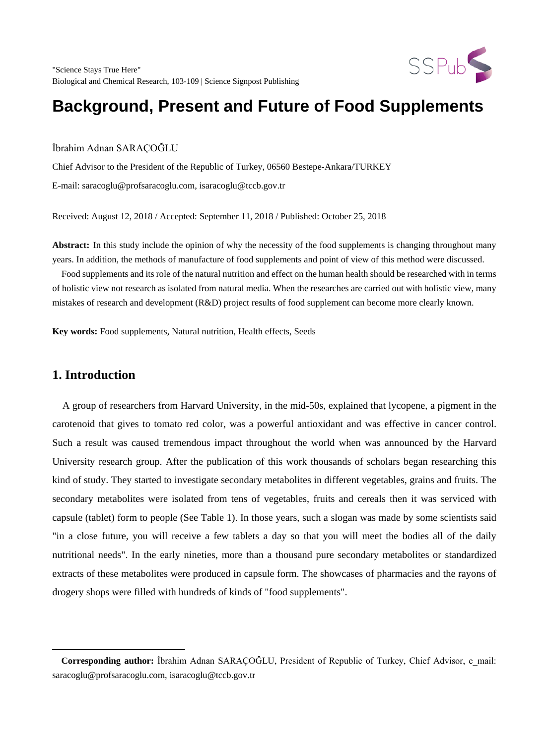

# **Background, Present and Future of Food Supplements**

İbrahim Adnan SARAÇOĞLU

Chief Advisor to the President of the Republic of Turkey, 06560 Bestepe-Ankara/TURKEY E-mail: saracoglu@profsaracoglu.com, isaracoglu@tccb.gov.tr

Received: August 12, 2018 / Accepted: September 11, 2018 / Published: October 25, 2018

**Abstract:** In this study include the opinion of why the necessity of the food supplements is changing throughout many years. In addition, the methods of manufacture of food supplements and point of view of this method were discussed.

 Food supplements and its role of the natural nutrition and effect on the human health should be researched with in terms of holistic view not research as isolated from natural media. When the researches are carried out with holistic view, many mistakes of research and development (R&D) project results of food supplement can become more clearly known.

**Key words:** Food supplements, Natural nutrition, Health effects, Seeds

### **1. Introduction**

 $\overline{a}$ 

 A group of researchers from Harvard University, in the mid-50s, explained that lycopene, a pigment in the carotenoid that gives to tomato red color, was a powerful antioxidant and was effective in cancer control. Such a result was caused tremendous impact throughout the world when was announced by the Harvard University research group. After the publication of this work thousands of scholars began researching this kind of study. They started to investigate secondary metabolites in different vegetables, grains and fruits. The secondary metabolites were isolated from tens of vegetables, fruits and cereals then it was serviced with capsule (tablet) form to people (See Table 1). In those years, such a slogan was made by some scientists said "in a close future, you will receive a few tablets a day so that you will meet the bodies all of the daily nutritional needs". In the early nineties, more than a thousand pure secondary metabolites or standardized extracts of these metabolites were produced in capsule form. The showcases of pharmacies and the rayons of drogery shops were filled with hundreds of kinds of "food supplements".

<span id="page-0-0"></span>**Corresponding author:** İbrahim Adnan SARAÇOĞLU, President of Republic of Turkey, Chief Advisor, e\_mail: [saracoglu@profsaracoglu.com,](mailto:saracoglu@profsaracoglu.com) isaracoglu@tccb.gov.tr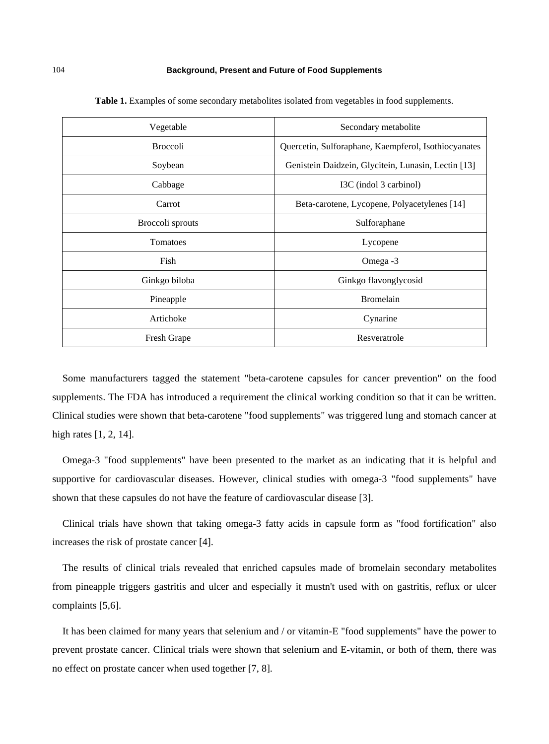#### 104 **Background, Present and Future of Food Supplements**

| Vegetable        | Secondary metabolite                                 |
|------------------|------------------------------------------------------|
| <b>Broccoli</b>  | Quercetin, Sulforaphane, Kaempferol, Isothiocyanates |
| Soybean          | Genistein Daidzein, Glycitein, Lunasin, Lectin [13]  |
| Cabbage          | I3C (indol 3 carbinol)                               |
| Carrot           | Beta-carotene, Lycopene, Polyacetylenes [14]         |
| Broccoli sprouts | Sulforaphane                                         |
| Tomatoes         | Lycopene                                             |
| Fish             | Omega -3                                             |
| Ginkgo biloba    | Ginkgo flavonglycosid                                |
| Pineapple        | <b>Bromelain</b>                                     |
| Artichoke        | Cynarine                                             |
| Fresh Grape      | Resveratrole                                         |

**Table 1.** Examples of some secondary metabolites isolated from vegetables in food supplements.

 Some manufacturers tagged the statement "beta-carotene capsules for cancer prevention" on the food supplements. The FDA has introduced a requirement the clinical working condition so that it can be written. Clinical studies were shown that beta-carotene "food supplements" was triggered lung and stomach cancer at high rates [1, 2, 14].

 Omega-3 "food supplements" have been presented to the market as an indicating that it is helpful and supportive for cardiovascular diseases. However, clinical studies with omega-3 "food supplements" have shown that these capsules do not have the feature of cardiovascular disease [3].

 Clinical trials have shown that taking omega-3 fatty acids in capsule form as "food fortification" also increases the risk of prostate cancer [4].

 The results of clinical trials revealed that enriched capsules made of bromelain secondary metabolites from pineapple triggers gastritis and ulcer and especially it mustn't used with on gastritis, reflux or ulcer complaints [5,6].

 It has been claimed for many years that selenium and / or vitamin-E "food supplements" have the power to prevent prostate cancer. Clinical trials were shown that selenium and E-vitamin, or both of them, there was no effect on prostate cancer when used together [7, 8].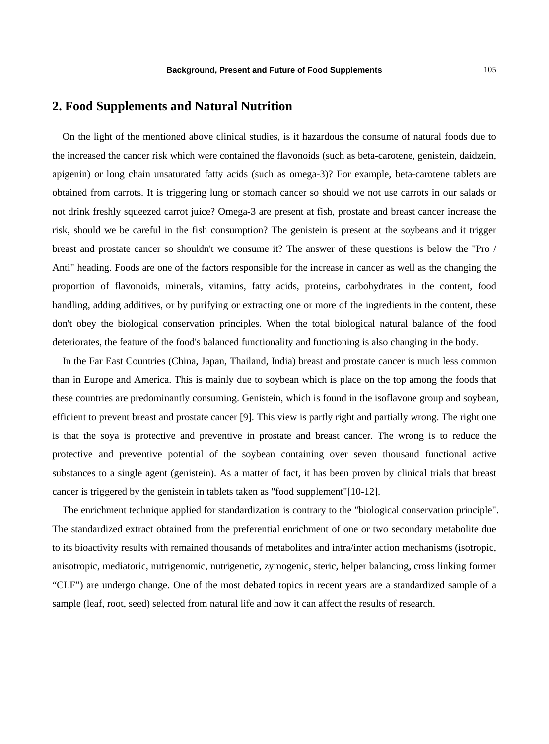### **2. Food Supplements and Natural Nutrition**

 On the light of the mentioned above clinical studies, is it hazardous the consume of natural foods due to the increased the cancer risk which were contained the flavonoids (such as beta-carotene, genistein, daidzein, apigenin) or long chain unsaturated fatty acids (such as omega-3)? For example, beta-carotene tablets are obtained from carrots. It is triggering lung or stomach cancer so should we not use carrots in our salads or not drink freshly squeezed carrot juice? Omega-3 are present at fish, prostate and breast cancer increase the risk, should we be careful in the fish consumption? The genistein is present at the soybeans and it trigger breast and prostate cancer so shouldn't we consume it? The answer of these questions is below the "Pro / Anti" heading. Foods are one of the factors responsible for the increase in cancer as well as the changing the proportion of flavonoids, minerals, vitamins, fatty acids, proteins, carbohydrates in the content, food handling, adding additives, or by purifying or extracting one or more of the ingredients in the content, these don't obey the biological conservation principles. When the total biological natural balance of the food deteriorates, the feature of the food's balanced functionality and functioning is also changing in the body.

 In the Far East Countries (China, Japan, Thailand, India) breast and prostate cancer is much less common than in Europe and America. This is mainly due to soybean which is place on the top among the foods that these countries are predominantly consuming. Genistein, which is found in the isoflavone group and soybean, efficient to prevent breast and prostate cancer [9]. This view is partly right and partially wrong. The right one is that the soya is protective and preventive in prostate and breast cancer. The wrong is to reduce the protective and preventive potential of the soybean containing over seven thousand functional active substances to a single agent (genistein). As a matter of fact, it has been proven by clinical trials that breast cancer is triggered by the genistein in tablets taken as "food supplement"[10-12].

 The enrichment technique applied for standardization is contrary to the "biological conservation principle". The standardized extract obtained from the preferential enrichment of one or two secondary metabolite due to its bioactivity results with remained thousands of metabolites and intra/inter action mechanisms (isotropic, anisotropic, mediatoric, nutrigenomic, nutrigenetic, zymogenic, steric, helper balancing, cross linking former "CLF") are undergo change. One of the most debated topics in recent years are a standardized sample of a sample (leaf, root, seed) selected from natural life and how it can affect the results of research.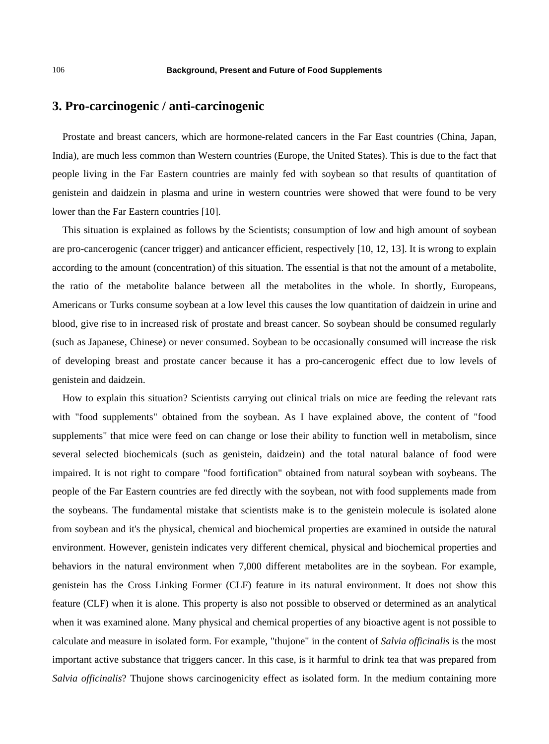### **3. Pro-carcinogenic / anti-carcinogenic**

 Prostate and breast cancers, which are hormone-related cancers in the Far East countries (China, Japan, India), are much less common than Western countries (Europe, the United States). This is due to the fact that people living in the Far Eastern countries are mainly fed with soybean so that results of quantitation of genistein and daidzein in plasma and urine in western countries were showed that were found to be very lower than the Far Eastern countries [10].

 This situation is explained as follows by the Scientists; consumption of low and high amount of soybean are pro-cancerogenic (cancer trigger) and anticancer efficient, respectively [10, 12, 13]. It is wrong to explain according to the amount (concentration) of this situation. The essential is that not the amount of a metabolite, the ratio of the metabolite balance between all the metabolites in the whole. In shortly, Europeans, Americans or Turks consume soybean at a low level this causes the low quantitation of daidzein in urine and blood, give rise to in increased risk of prostate and breast cancer. So soybean should be consumed regularly (such as Japanese, Chinese) or never consumed. Soybean to be occasionally consumed will increase the risk of developing breast and prostate cancer because it has a pro-cancerogenic effect due to low levels of genistein and daidzein.

 How to explain this situation? Scientists carrying out clinical trials on mice are feeding the relevant rats with "food supplements" obtained from the soybean. As I have explained above, the content of "food supplements" that mice were feed on can change or lose their ability to function well in metabolism, since several selected biochemicals (such as genistein, daidzein) and the total natural balance of food were impaired. It is not right to compare "food fortification" obtained from natural soybean with soybeans. The people of the Far Eastern countries are fed directly with the soybean, not with food supplements made from the soybeans. The fundamental mistake that scientists make is to the genistein molecule is isolated alone from soybean and it's the physical, chemical and biochemical properties are examined in outside the natural environment. However, genistein indicates very different chemical, physical and biochemical properties and behaviors in the natural environment when 7,000 different metabolites are in the soybean. For example, genistein has the Cross Linking Former (CLF) feature in its natural environment. It does not show this feature (CLF) when it is alone. This property is also not possible to observed or determined as an analytical when it was examined alone. Many physical and chemical properties of any bioactive agent is not possible to calculate and measure in isolated form. For example, "thujone" in the content of *Salvia officinalis* is the most important active substance that triggers cancer. In this case, is it harmful to drink tea that was prepared from *Salvia officinalis*? Thujone shows carcinogenicity effect as isolated form. In the medium containing more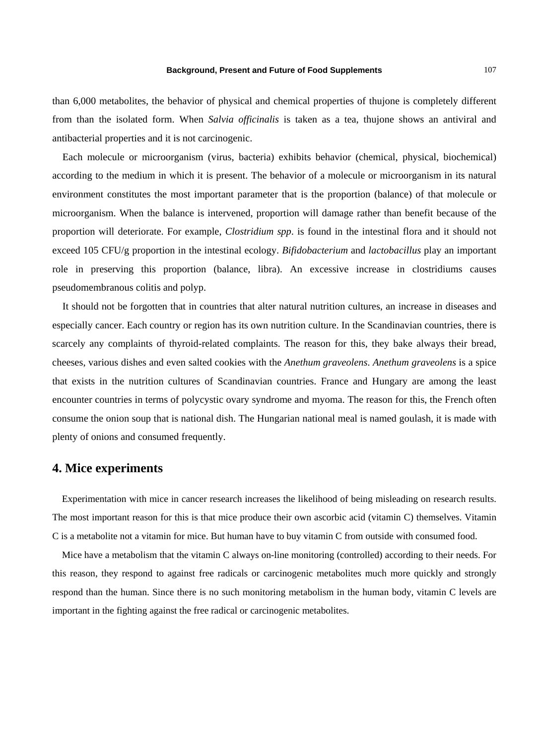#### **Background, Present and Future of Food Supplements** 107

than 6,000 metabolites, the behavior of physical and chemical properties of thujone is completely different from than the isolated form. When *Salvia officinalis* is taken as a tea, thujone shows an antiviral and antibacterial properties and it is not carcinogenic.

 Each molecule or microorganism (virus, bacteria) exhibits behavior (chemical, physical, biochemical) according to the medium in which it is present. The behavior of a molecule or microorganism in its natural environment constitutes the most important parameter that is the proportion (balance) of that molecule or microorganism. When the balance is intervened, proportion will damage rather than benefit because of the proportion will deteriorate. For example, *Clostridium spp*. is found in the intestinal flora and it should not exceed 105 CFU/g proportion in the intestinal ecology. *Bifidobacterium* and *lactobacillus* play an important role in preserving this proportion (balance, libra). An excessive increase in clostridiums causes pseudomembranous colitis and polyp.

 It should not be forgotten that in countries that alter natural nutrition cultures, an increase in diseases and especially cancer. Each country or region has its own nutrition culture. In the Scandinavian countries, there is scarcely any complaints of thyroid-related complaints. The reason for this, they bake always their bread, cheeses, various dishes and even salted cookies with the *Anethum graveolens*. *Anethum graveolens* is a spice that exists in the nutrition cultures of Scandinavian countries. France and Hungary are among the least encounter countries in terms of polycystic ovary syndrome and myoma. The reason for this, the French often consume the onion soup that is national dish. The Hungarian national meal is named goulash, it is made with plenty of onions and consumed frequently.

### **4. Mice experiments**

 Experimentation with mice in cancer research increases the likelihood of being misleading on research results. The most important reason for this is that mice produce their own ascorbic acid (vitamin C) themselves. Vitamin C is a metabolite not a vitamin for mice. But human have to buy vitamin C from outside with consumed food.

 Mice have a metabolism that the vitamin C always on-line monitoring (controlled) according to their needs. For this reason, they respond to against free radicals or carcinogenic metabolites much more quickly and strongly respond than the human. Since there is no such monitoring metabolism in the human body, vitamin C levels are important in the fighting against the free radical or carcinogenic metabolites.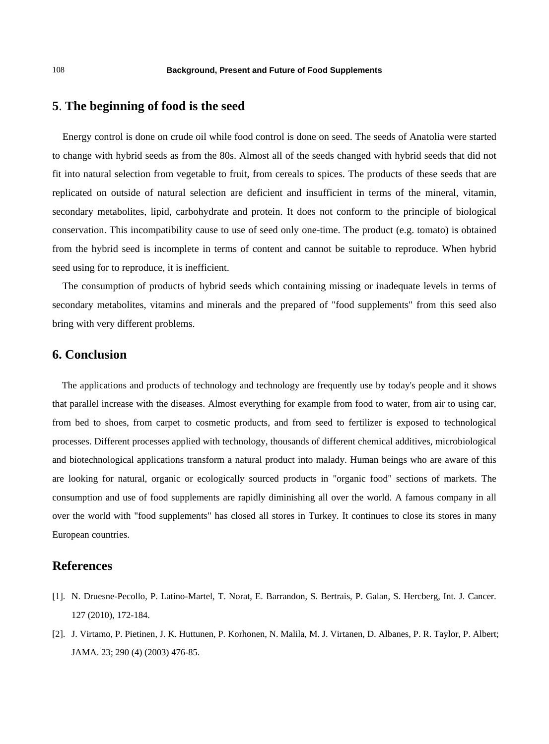## **5**. **The beginning of food is the seed**

 Energy control is done on crude oil while food control is done on seed. The seeds of Anatolia were started to change with hybrid seeds as from the 80s. Almost all of the seeds changed with hybrid seeds that did not fit into natural selection from vegetable to fruit, from cereals to spices. The products of these seeds that are replicated on outside of natural selection are deficient and insufficient in terms of the mineral, vitamin, secondary metabolites, lipid, carbohydrate and protein. It does not conform to the principle of biological conservation. This incompatibility cause to use of seed only one-time. The product (e.g. tomato) is obtained from the hybrid seed is incomplete in terms of content and cannot be suitable to reproduce. When hybrid seed using for to reproduce, it is inefficient.

 The consumption of products of hybrid seeds which containing missing or inadequate levels in terms of secondary metabolites, vitamins and minerals and the prepared of "food supplements" from this seed also bring with very different problems.

### **6. Conclusion**

 The applications and products of technology and technology are frequently use by today's people and it shows that parallel increase with the diseases. Almost everything for example from food to water, from air to using car, from bed to shoes, from carpet to cosmetic products, and from seed to fertilizer is exposed to technological processes. Different processes applied with technology, thousands of different chemical additives, microbiological and biotechnological applications transform a natural product into malady. Human beings who are aware of this are looking for natural, organic or ecologically sourced products in "organic food" sections of markets. The consumption and use of food supplements are rapidly diminishing all over the world. A famous company in all over the world with "food supplements" has closed all stores in Turkey. It continues to close its stores in many European countries.

### **References**

- [1]. N. Druesne-Pecollo, P. Latino-Martel, T. Norat, E. Barrandon, S. Bertrais, P. Galan, S. Hercberg, Int. J. Cancer. 127 (2010), 172-184.
- [2]. J. Virtamo, P. Pietinen, J. K. Huttunen, P. Korhonen, N. Malila, M. J. Virtanen, D. Albanes, P. R. Taylor, P. Albert; JAMA. 23; 290 (4) (2003) 476-85.